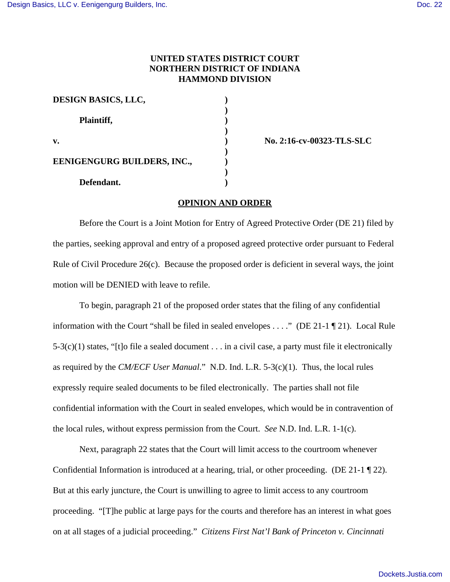## **UNITED STATES DISTRICT COURT NORTHERN DISTRICT OF INDIANA HAMMOND DIVISION**

| <b>DESIGN BASICS, LLC,</b>         |  |
|------------------------------------|--|
| Plaintiff,                         |  |
| $\mathbf{v}$ .                     |  |
| <b>EENIGENGURG BUILDERS, INC.,</b> |  |
| Defendant.                         |  |

**v. ) No. 2:16-cv-00323-TLS-SLC**

## **OPINION AND ORDER**

Before the Court is a Joint Motion for Entry of Agreed Protective Order (DE 21) filed by the parties, seeking approval and entry of a proposed agreed protective order pursuant to Federal Rule of Civil Procedure 26(c). Because the proposed order is deficient in several ways, the joint motion will be DENIED with leave to refile.

To begin, paragraph 21 of the proposed order states that the filing of any confidential information with the Court "shall be filed in sealed envelopes . . . ." (DE 21-1 ¶ 21). Local Rule  $5-3(c)(1)$  states, "[t]o file a sealed document . . . in a civil case, a party must file it electronically as required by the *CM/ECF User Manual*." N.D. Ind. L.R. 5-3(c)(1). Thus, the local rules expressly require sealed documents to be filed electronically. The parties shall not file confidential information with the Court in sealed envelopes, which would be in contravention of the local rules, without express permission from the Court. *See* N.D. Ind. L.R. 1-1(c).

Next, paragraph 22 states that the Court will limit access to the courtroom whenever Confidential Information is introduced at a hearing, trial, or other proceeding. (DE 21-1  $\P$  22). But at this early juncture, the Court is unwilling to agree to limit access to any courtroom proceeding. "[T]he public at large pays for the courts and therefore has an interest in what goes on at all stages of a judicial proceeding." *Citizens First Nat'l Bank of Princeton v. Cincinnati*